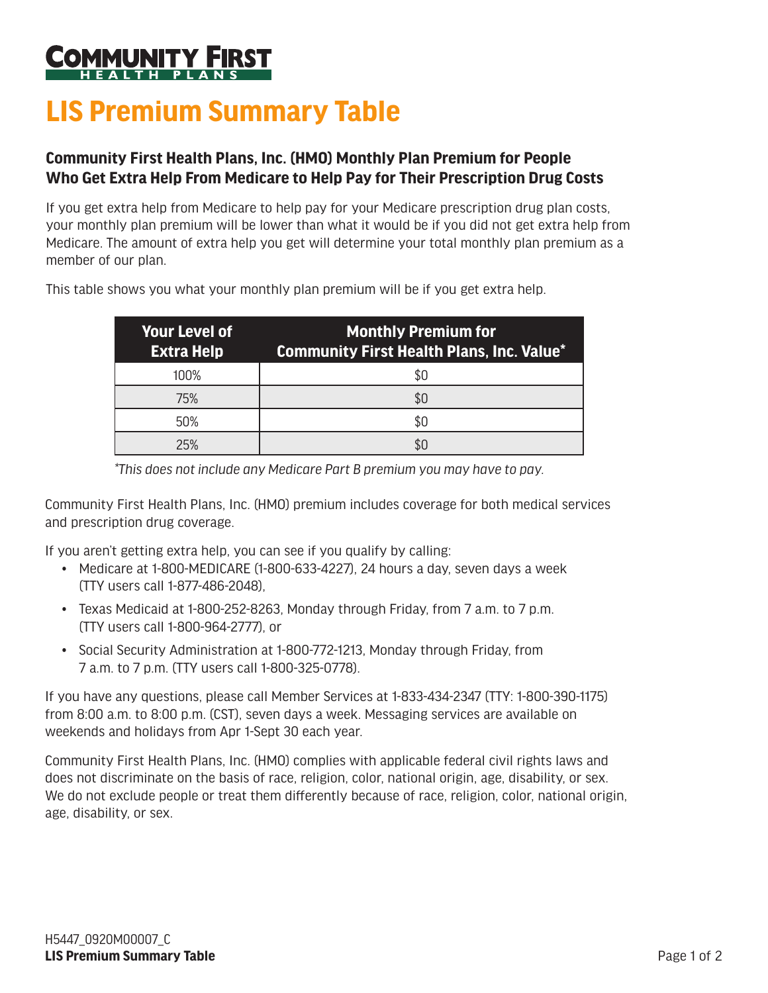## **MUNITY**

## **LIS Premium Summary Table**

## **Community First Health Plans, Inc. (HMO) Monthly Plan Premium for People Who Get Extra Help From Medicare to Help Pay for Their Prescription Drug Costs**

If you get extra help from Medicare to help pay for your Medicare prescription drug plan costs, your monthly plan premium will be lower than what it would be if you did not get extra help from Medicare. The amount of extra help you get will determine your total monthly plan premium as a member of our plan.

| <b>Your Level of</b><br><b>Extra Help</b> | <b>Monthly Premium for</b><br><b>Community First Health Plans, Inc. Value*</b> |
|-------------------------------------------|--------------------------------------------------------------------------------|
| 100%                                      |                                                                                |
| 75%                                       |                                                                                |
| 50%                                       |                                                                                |
| 25%                                       |                                                                                |

This table shows you what your monthly plan premium will be if you get extra help.

*\*This does not include any Medicare Part B premium you may have to pay.*

Community First Health Plans, Inc. (HMO) premium includes coverage for both medical services and prescription drug coverage.

If you aren't getting extra help, you can see if you qualify by calling:

- Medicare at 1-800-MEDICARE (1-800-633-4227), 24 hours a day, seven days a week (TTY users call 1-877-486-2048),
- Texas Medicaid at 1-800-252-8263, Monday through Friday, from 7 a.m. to 7 p.m. (TTY users call 1-800-964-2777), or
- Social Security Administration at 1-800-772-1213, Monday through Friday, from 7 a.m. to 7 p.m. (TTY users call 1-800-325-0778).

If you have any questions, please call Member Services at 1-833-434-2347 (TTY: 1-800-390-1175) from 8:00 a.m. to 8:00 p.m. (CST), seven days a week. Messaging services are available on weekends and holidays from Apr 1-Sept 30 each year.

Community First Health Plans, Inc. (HMO) complies with applicable federal civil rights laws and does not discriminate on the basis of race, religion, color, national origin, age, disability, or sex. We do not exclude people or treat them differently because of race, religion, color, national origin, age, disability, or sex.